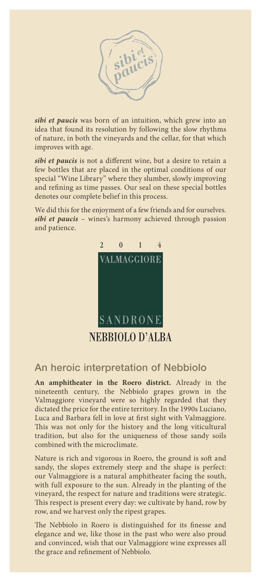

*sibi et paucis* was born of an intuition, which grew into an idea that found its resolution by following the slow rhythms of nature, in both the vineyards and the cellar, for that which improves with age.

*sibi et paucis* is not a different wine, but a desire to retain a few bottles that are placed in the optimal conditions of our special "Wine Library" where they slumber, slowly improving and refining as time passes. Our seal on these special bottles denotes our complete belief in this process.

We did this for the enjoyment of a few friends and for ourselves. *sibi et paucis* – wines's harmony achieved through passion and patience.



## An heroic interpretation of Nebbiolo

**An amphitheater in the Roero district.** Already in the nineteenth century, the Nebbiolo grapes grown in the Valmaggiore vineyard were so highly regarded that they dictated the price for the entire territory. In the 1990s Luciano, Luca and Barbara fell in love at first sight with Valmaggiore. This was not only for the history and the long viticultural tradition, but also for the uniqueness of those sandy soils combined with the microclimate.

Nature is rich and vigorous in Roero, the ground is soft and sandy, the slopes extremely steep and the shape is perfect: our Valmaggiore is a natural amphitheater facing the south, with full exposure to the sun. Already in the planting of the vineyard, the respect for nature and traditions were strategic. This respect is present every day: we cultivate by hand, row by row, and we harvest only the ripest grapes.

The Nebbiolo in Roero is distinguished for its finesse and elegance and we, like those in the past who were also proud and convinced, wish that our Valmaggiore wine expresses all the grace and refinement of Nebbiolo.